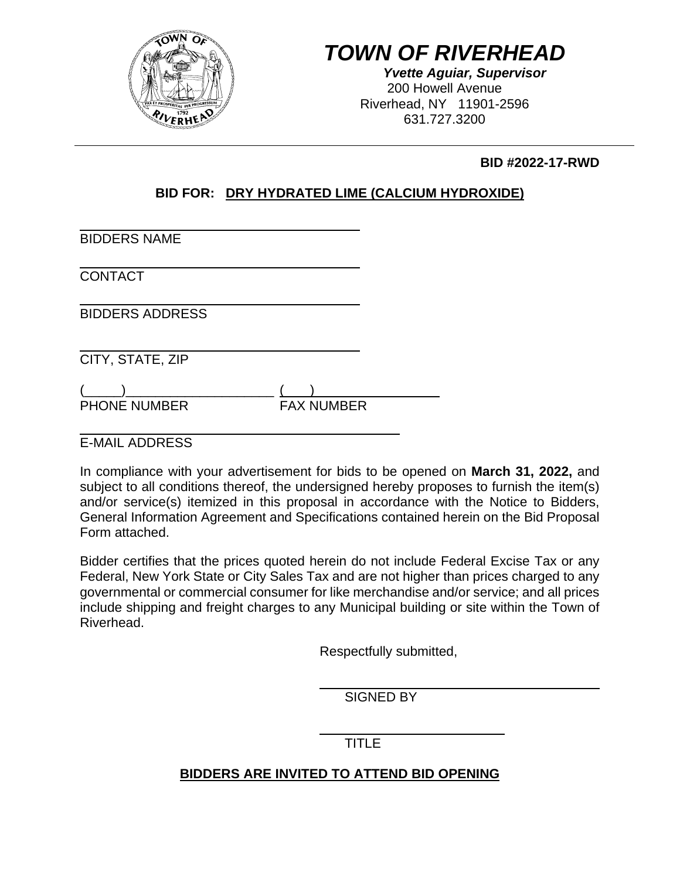

# *TOWN OF RIVERHEAD*

*Yvette Aguiar, Supervisor*  200 Howell Avenue Riverhead, NY 11901-2596 631.727.3200

 **BID #2022-17-RWD** 

## **BID FOR: DRY HYDRATED LIME (CALCIUM HYDROXIDE)**

| <b>BIDDERS NAME</b>    |                   |  |
|------------------------|-------------------|--|
| <b>CONTACT</b>         |                   |  |
| <b>BIDDERS ADDRESS</b> |                   |  |
| CITY, STATE, ZIP       |                   |  |
| <b>PHONE NUMBER</b>    | <b>FAX NUMBER</b> |  |

E-MAIL ADDRESS

In compliance with your advertisement for bids to be opened on **March 31, 2022,** and subject to all conditions thereof, the undersigned hereby proposes to furnish the item(s) and/or service(s) itemized in this proposal in accordance with the Notice to Bidders, General Information Agreement and Specifications contained herein on the Bid Proposal Form attached.

Bidder certifies that the prices quoted herein do not include Federal Excise Tax or any Federal, New York State or City Sales Tax and are not higher than prices charged to any governmental or commercial consumer for like merchandise and/or service; and all prices include shipping and freight charges to any Municipal building or site within the Town of Riverhead.

Respectfully submitted,

SIGNED BY

TITLE

## **BIDDERS ARE INVITED TO ATTEND BID OPENING**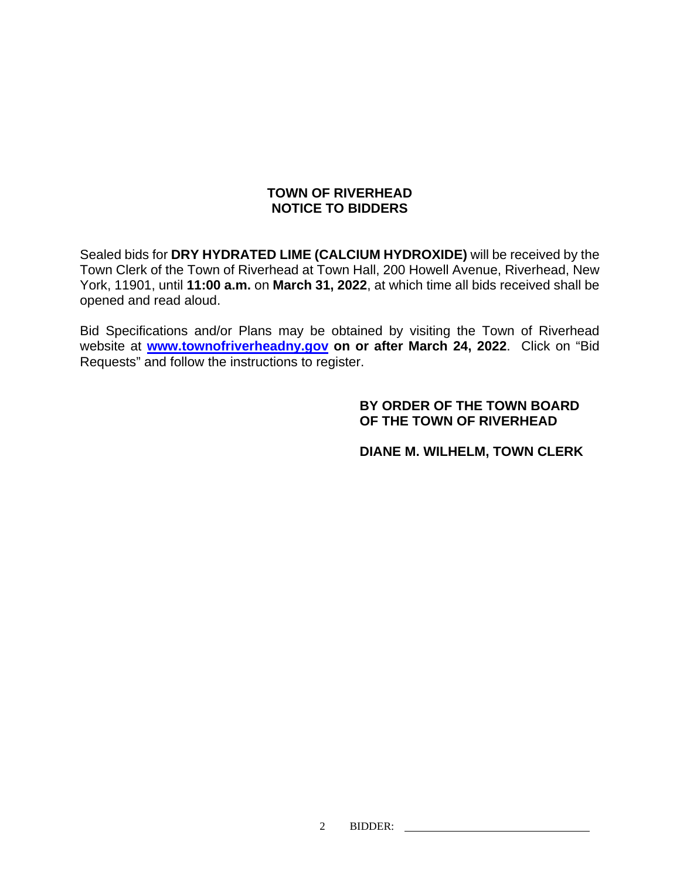## **TOWN OF RIVERHEAD NOTICE TO BIDDERS**

Sealed bids for **DRY HYDRATED LIME (CALCIUM HYDROXIDE)** will be received by the Town Clerk of the Town of Riverhead at Town Hall, 200 Howell Avenue, Riverhead, New York, 11901, until **11:00 a.m.** on **March 31, 2022**, at which time all bids received shall be opened and read aloud.

Bid Specifications and/or Plans may be obtained by visiting the Town of Riverhead website at **www.townofriverheadny.gov on or after March 24, 2022**. Click on "Bid Requests" and follow the instructions to register.

### **BY ORDER OF THE TOWN BOARD OF THE TOWN OF RIVERHEAD**

 **DIANE M. WILHELM, TOWN CLERK**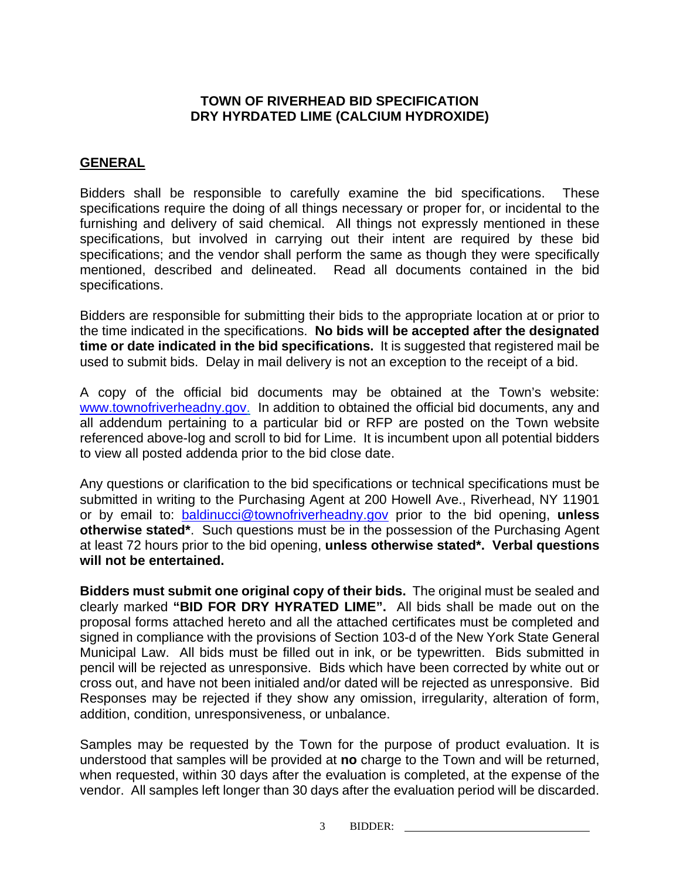## **TOWN OF RIVERHEAD BID SPECIFICATION DRY HYRDATED LIME (CALCIUM HYDROXIDE)**

#### **GENERAL**

Bidders shall be responsible to carefully examine the bid specifications. These specifications require the doing of all things necessary or proper for, or incidental to the furnishing and delivery of said chemical. All things not expressly mentioned in these specifications, but involved in carrying out their intent are required by these bid specifications; and the vendor shall perform the same as though they were specifically mentioned, described and delineated. Read all documents contained in the bid specifications.

Bidders are responsible for submitting their bids to the appropriate location at or prior to the time indicated in the specifications. **No bids will be accepted after the designated time or date indicated in the bid specifications.** It is suggested that registered mail be used to submit bids. Delay in mail delivery is not an exception to the receipt of a bid.

A copy of the official bid documents may be obtained at the Town's website: www.townofriverheadny.gov. In addition to obtained the official bid documents, any and all addendum pertaining to a particular bid or RFP are posted on the Town website referenced above-log and scroll to bid for Lime. It is incumbent upon all potential bidders to view all posted addenda prior to the bid close date.

Any questions or clarification to the bid specifications or technical specifications must be submitted in writing to the Purchasing Agent at 200 Howell Ave., Riverhead, NY 11901 or by email to: baldinucci@townofriverheadny.gov prior to the bid opening, **unless otherwise stated\***. Such questions must be in the possession of the Purchasing Agent at least 72 hours prior to the bid opening, **unless otherwise stated\*. Verbal questions will not be entertained.**

**Bidders must submit one original copy of their bids.** The original must be sealed and clearly marked **"BID FOR DRY HYRATED LIME".** All bids shall be made out on the proposal forms attached hereto and all the attached certificates must be completed and signed in compliance with the provisions of Section 103-d of the New York State General Municipal Law. All bids must be filled out in ink, or be typewritten. Bids submitted in pencil will be rejected as unresponsive. Bids which have been corrected by white out or cross out, and have not been initialed and/or dated will be rejected as unresponsive. Bid Responses may be rejected if they show any omission, irregularity, alteration of form, addition, condition, unresponsiveness, or unbalance.

Samples may be requested by the Town for the purpose of product evaluation. It is understood that samples will be provided at **no** charge to the Town and will be returned, when requested, within 30 days after the evaluation is completed, at the expense of the vendor. All samples left longer than 30 days after the evaluation period will be discarded.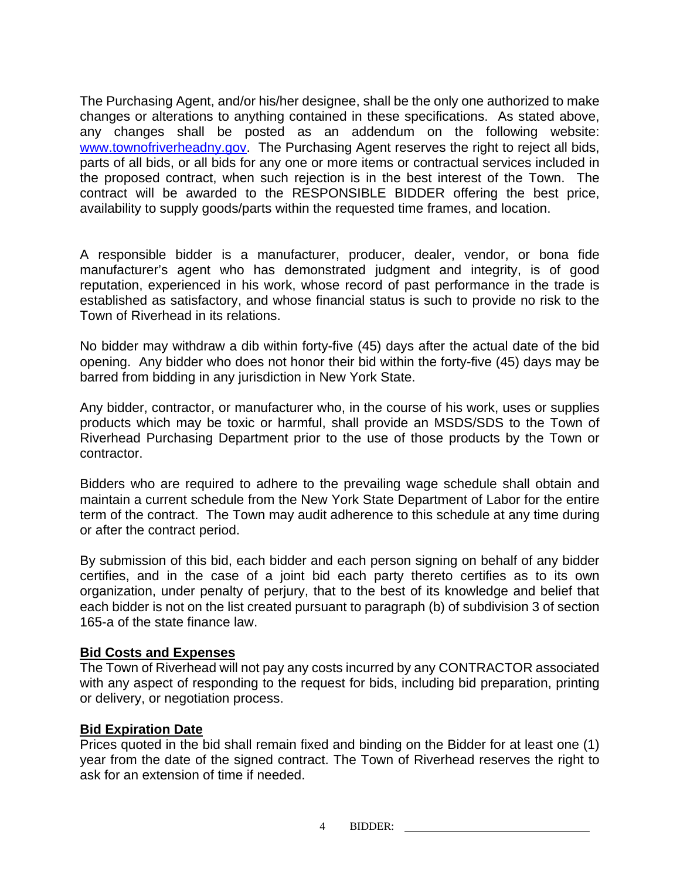The Purchasing Agent, and/or his/her designee, shall be the only one authorized to make changes or alterations to anything contained in these specifications. As stated above, any changes shall be posted as an addendum on the following website: www.townofriverheadny.gov. The Purchasing Agent reserves the right to reject all bids, parts of all bids, or all bids for any one or more items or contractual services included in the proposed contract, when such rejection is in the best interest of the Town. The contract will be awarded to the RESPONSIBLE BIDDER offering the best price, availability to supply goods/parts within the requested time frames, and location.

A responsible bidder is a manufacturer, producer, dealer, vendor, or bona fide manufacturer's agent who has demonstrated judgment and integrity, is of good reputation, experienced in his work, whose record of past performance in the trade is established as satisfactory, and whose financial status is such to provide no risk to the Town of Riverhead in its relations.

No bidder may withdraw a dib within forty-five (45) days after the actual date of the bid opening. Any bidder who does not honor their bid within the forty-five (45) days may be barred from bidding in any jurisdiction in New York State.

Any bidder, contractor, or manufacturer who, in the course of his work, uses or supplies products which may be toxic or harmful, shall provide an MSDS/SDS to the Town of Riverhead Purchasing Department prior to the use of those products by the Town or contractor.

Bidders who are required to adhere to the prevailing wage schedule shall obtain and maintain a current schedule from the New York State Department of Labor for the entire term of the contract. The Town may audit adherence to this schedule at any time during or after the contract period.

By submission of this bid, each bidder and each person signing on behalf of any bidder certifies, and in the case of a joint bid each party thereto certifies as to its own organization, under penalty of perjury, that to the best of its knowledge and belief that each bidder is not on the list created pursuant to paragraph (b) of subdivision 3 of section 165-a of the state finance law.

### **Bid Costs and Expenses**

The Town of Riverhead will not pay any costs incurred by any CONTRACTOR associated with any aspect of responding to the request for bids, including bid preparation, printing or delivery, or negotiation process.

### **Bid Expiration Date**

Prices quoted in the bid shall remain fixed and binding on the Bidder for at least one (1) year from the date of the signed contract. The Town of Riverhead reserves the right to ask for an extension of time if needed.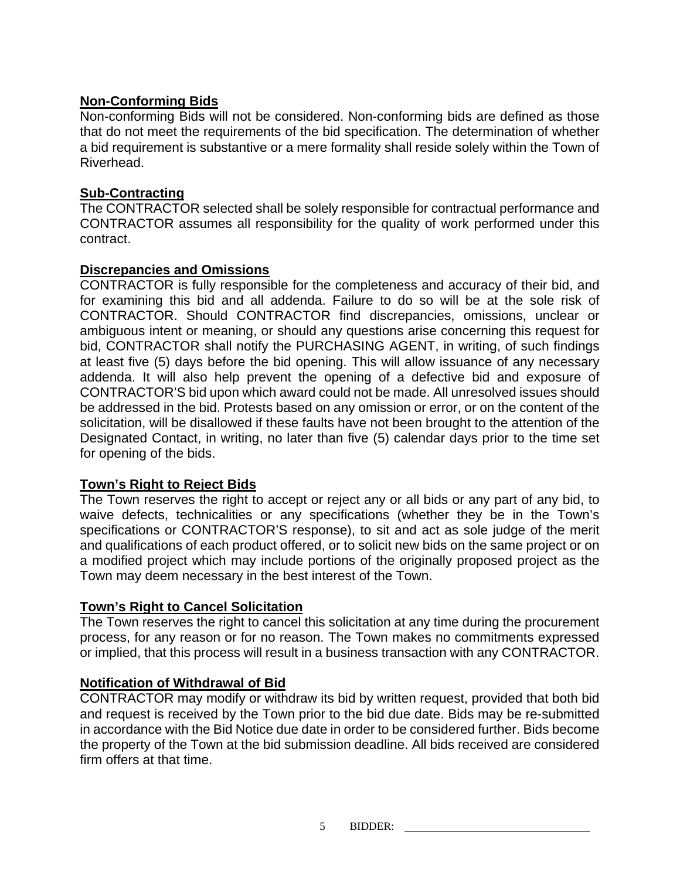## **Non-Conforming Bids**

Non-conforming Bids will not be considered. Non-conforming bids are defined as those that do not meet the requirements of the bid specification. The determination of whether a bid requirement is substantive or a mere formality shall reside solely within the Town of Riverhead.

## **Sub-Contracting**

The CONTRACTOR selected shall be solely responsible for contractual performance and CONTRACTOR assumes all responsibility for the quality of work performed under this contract.

## **Discrepancies and Omissions**

CONTRACTOR is fully responsible for the completeness and accuracy of their bid, and for examining this bid and all addenda. Failure to do so will be at the sole risk of CONTRACTOR. Should CONTRACTOR find discrepancies, omissions, unclear or ambiguous intent or meaning, or should any questions arise concerning this request for bid, CONTRACTOR shall notify the PURCHASING AGENT, in writing, of such findings at least five (5) days before the bid opening. This will allow issuance of any necessary addenda. It will also help prevent the opening of a defective bid and exposure of CONTRACTOR'S bid upon which award could not be made. All unresolved issues should be addressed in the bid. Protests based on any omission or error, or on the content of the solicitation, will be disallowed if these faults have not been brought to the attention of the Designated Contact, in writing, no later than five (5) calendar days prior to the time set for opening of the bids.

## **Town's Right to Reject Bids**

The Town reserves the right to accept or reject any or all bids or any part of any bid, to waive defects, technicalities or any specifications (whether they be in the Town's specifications or CONTRACTOR'S response), to sit and act as sole judge of the merit and qualifications of each product offered, or to solicit new bids on the same project or on a modified project which may include portions of the originally proposed project as the Town may deem necessary in the best interest of the Town.

## **Town's Right to Cancel Solicitation**

The Town reserves the right to cancel this solicitation at any time during the procurement process, for any reason or for no reason. The Town makes no commitments expressed or implied, that this process will result in a business transaction with any CONTRACTOR.

### **Notification of Withdrawal of Bid**

CONTRACTOR may modify or withdraw its bid by written request, provided that both bid and request is received by the Town prior to the bid due date. Bids may be re-submitted in accordance with the Bid Notice due date in order to be considered further. Bids become the property of the Town at the bid submission deadline. All bids received are considered firm offers at that time.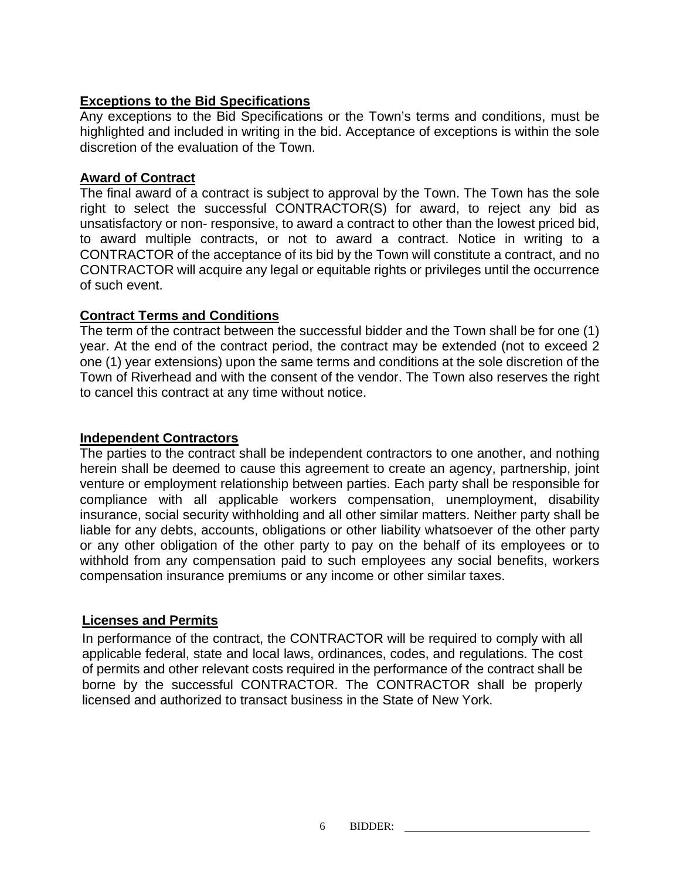## **Exceptions to the Bid Specifications**

Any exceptions to the Bid Specifications or the Town's terms and conditions, must be highlighted and included in writing in the bid. Acceptance of exceptions is within the sole discretion of the evaluation of the Town.

#### **Award of Contract**

The final award of a contract is subject to approval by the Town. The Town has the sole right to select the successful CONTRACTOR(S) for award, to reject any bid as unsatisfactory or non- responsive, to award a contract to other than the lowest priced bid, to award multiple contracts, or not to award a contract. Notice in writing to a CONTRACTOR of the acceptance of its bid by the Town will constitute a contract, and no CONTRACTOR will acquire any legal or equitable rights or privileges until the occurrence of such event.

### **Contract Terms and Conditions**

The term of the contract between the successful bidder and the Town shall be for one (1) year. At the end of the contract period, the contract may be extended (not to exceed 2 one (1) year extensions) upon the same terms and conditions at the sole discretion of the Town of Riverhead and with the consent of the vendor. The Town also reserves the right to cancel this contract at any time without notice.

#### **Independent Contractors**

The parties to the contract shall be independent contractors to one another, and nothing herein shall be deemed to cause this agreement to create an agency, partnership, joint venture or employment relationship between parties. Each party shall be responsible for compliance with all applicable workers compensation, unemployment, disability insurance, social security withholding and all other similar matters. Neither party shall be liable for any debts, accounts, obligations or other liability whatsoever of the other party or any other obligation of the other party to pay on the behalf of its employees or to withhold from any compensation paid to such employees any social benefits, workers compensation insurance premiums or any income or other similar taxes.

### **Licenses and Permits**

In performance of the contract, the CONTRACTOR will be required to comply with all applicable federal, state and local laws, ordinances, codes, and regulations. The cost of permits and other relevant costs required in the performance of the contract shall be borne by the successful CONTRACTOR. The CONTRACTOR shall be properly licensed and authorized to transact business in the State of New York.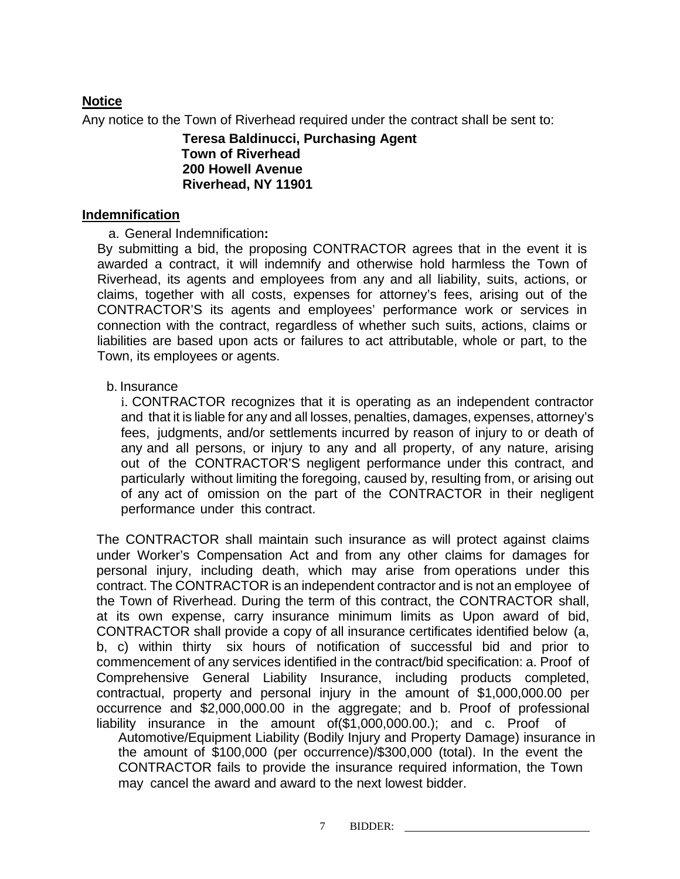## **Notice**

Any notice to the Town of Riverhead required under the contract shall be sent to:

**Teresa Baldinucci, Purchasing Agent Town of Riverhead 200 Howell Avenue Riverhead, NY 11901**

#### **Indemnification**

a. General Indemnification**:**

By submitting a bid, the proposing CONTRACTOR agrees that in the event it is awarded a contract, it will indemnify and otherwise hold harmless the Town of Riverhead, its agents and employees from any and all liability, suits, actions, or claims, together with all costs, expenses for attorney's fees, arising out of the CONTRACTOR'S its agents and employees' performance work or services in connection with the contract, regardless of whether such suits, actions, claims or liabilities are based upon acts or failures to act attributable, whole or part, to the Town, its employees or agents.

### b. Insurance

i. CONTRACTOR recognizes that it is operating as an independent contractor and that it is liable for any and all losses, penalties, damages, expenses, attorney's fees, judgments, and/or settlements incurred by reason of injury to or death of any and all persons, or injury to any and all property, of any nature, arising out of the CONTRACTOR'S negligent performance under this contract, and particularly without limiting the foregoing, caused by, resulting from, or arising out of any act of omission on the part of the CONTRACTOR in their negligent performance under this contract.

The CONTRACTOR shall maintain such insurance as will protect against claims under Worker's Compensation Act and from any other claims for damages for personal injury, including death, which may arise from operations under this contract. The CONTRACTOR is an independent contractor and is not an employee of the Town of Riverhead. During the term of this contract, the CONTRACTOR shall, at its own expense, carry insurance minimum limits as Upon award of bid, CONTRACTOR shall provide a copy of all insurance certificates identified below (a, b, c) within thirty six hours of notification of successful bid and prior to commencement of any services identified in the contract/bid specification: a. Proof of Comprehensive General Liability Insurance, including products completed, contractual, property and personal injury in the amount of \$1,000,000.00 per occurrence and \$2,000,000.00 in the aggregate; and b. Proof of professional liability insurance in the amount of(\$1,000,000.00.); and c. Proof of Automotive/Equipment Liability (Bodily Injury and Property Damage) insurance in

the amount of \$100,000 (per occurrence)/\$300,000 (total). In the event the CONTRACTOR fails to provide the insurance required information, the Town may cancel the award and award to the next lowest bidder.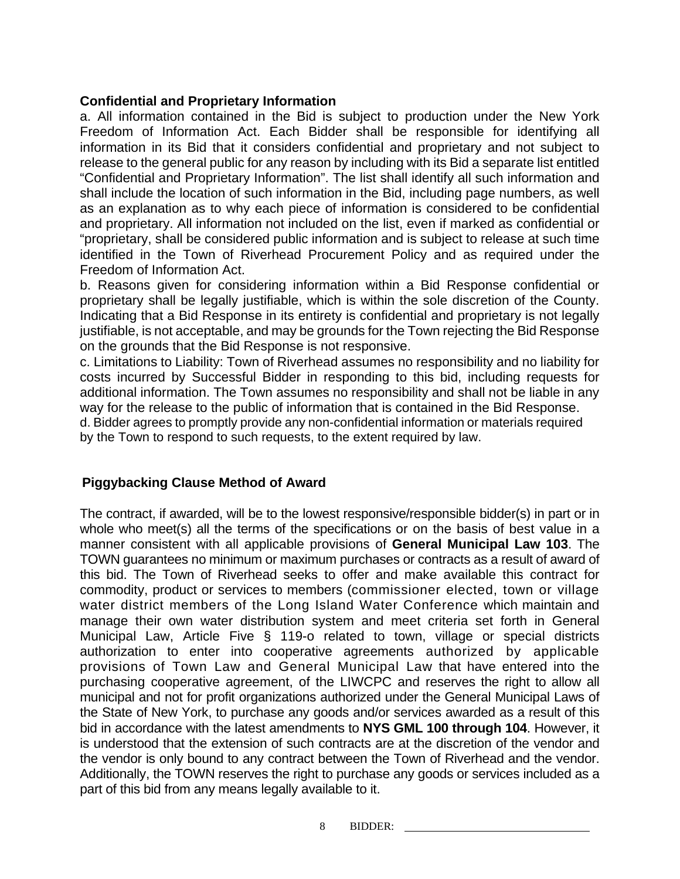#### **Confidential and Proprietary Information**

a. All information contained in the Bid is subject to production under the New York Freedom of Information Act. Each Bidder shall be responsible for identifying all information in its Bid that it considers confidential and proprietary and not subject to release to the general public for any reason by including with its Bid a separate list entitled "Confidential and Proprietary Information". The list shall identify all such information and shall include the location of such information in the Bid, including page numbers, as well as an explanation as to why each piece of information is considered to be confidential and proprietary. All information not included on the list, even if marked as confidential or "proprietary, shall be considered public information and is subject to release at such time identified in the Town of Riverhead Procurement Policy and as required under the Freedom of Information Act.

b. Reasons given for considering information within a Bid Response confidential or proprietary shall be legally justifiable, which is within the sole discretion of the County. Indicating that a Bid Response in its entirety is confidential and proprietary is not legally justifiable, is not acceptable, and may be grounds for the Town rejecting the Bid Response on the grounds that the Bid Response is not responsive.

c. Limitations to Liability: Town of Riverhead assumes no responsibility and no liability for costs incurred by Successful Bidder in responding to this bid, including requests for additional information. The Town assumes no responsibility and shall not be liable in any way for the release to the public of information that is contained in the Bid Response. d. Bidder agrees to promptly provide any non-confidential information or materials required by the Town to respond to such requests, to the extent required by law.

### **Piggybacking Clause Method of Award**

The contract, if awarded, will be to the lowest responsive/responsible bidder(s) in part or in whole who meet(s) all the terms of the specifications or on the basis of best value in a manner consistent with all applicable provisions of **General Municipal Law 103**. The TOWN guarantees no minimum or maximum purchases or contracts as a result of award of this bid. The Town of Riverhead seeks to offer and make available this contract for commodity, product or services to members (commissioner elected, town or village water district members of the Long Island Water Conference which maintain and manage their own water distribution system and meet criteria set forth in General Municipal Law, Article Five § 119-o related to town, village or special districts authorization to enter into cooperative agreements authorized by applicable provisions of Town Law and General Municipal Law that have entered into the purchasing cooperative agreement, of the LIWCPC and reserves the right to allow all municipal and not for profit organizations authorized under the General Municipal Laws of the State of New York, to purchase any goods and/or services awarded as a result of this bid in accordance with the latest amendments to **NYS GML 100 through 104**. However, it is understood that the extension of such contracts are at the discretion of the vendor and the vendor is only bound to any contract between the Town of Riverhead and the vendor. Additionally, the TOWN reserves the right to purchase any goods or services included as a part of this bid from any means legally available to it.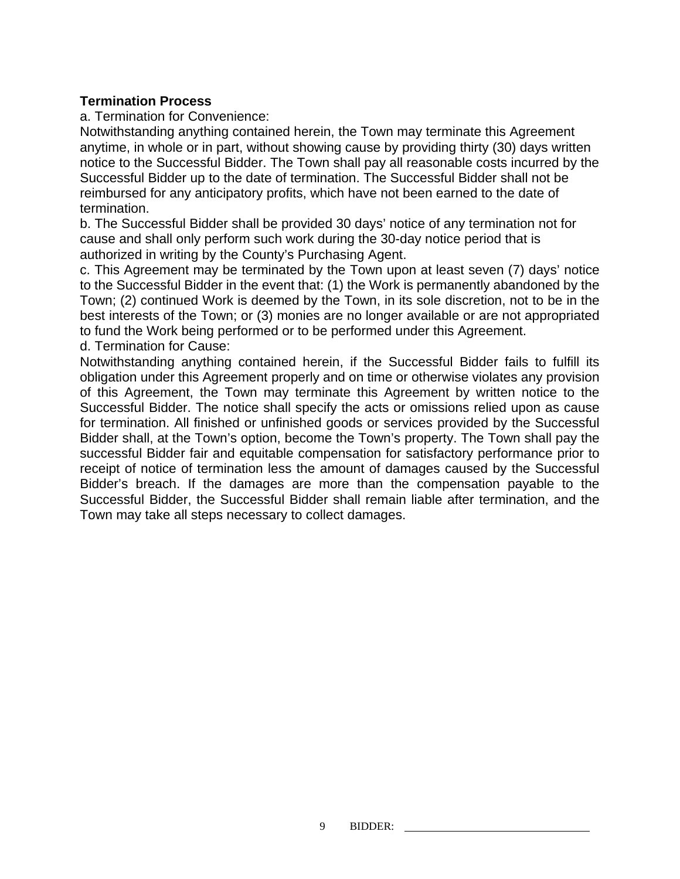#### **Termination Process**

a. Termination for Convenience:

Notwithstanding anything contained herein, the Town may terminate this Agreement anytime, in whole or in part, without showing cause by providing thirty (30) days written notice to the Successful Bidder. The Town shall pay all reasonable costs incurred by the Successful Bidder up to the date of termination. The Successful Bidder shall not be reimbursed for any anticipatory profits, which have not been earned to the date of termination.

b. The Successful Bidder shall be provided 30 days' notice of any termination not for cause and shall only perform such work during the 30-day notice period that is authorized in writing by the County's Purchasing Agent.

c. This Agreement may be terminated by the Town upon at least seven (7) days' notice to the Successful Bidder in the event that: (1) the Work is permanently abandoned by the Town; (2) continued Work is deemed by the Town, in its sole discretion, not to be in the best interests of the Town; or (3) monies are no longer available or are not appropriated to fund the Work being performed or to be performed under this Agreement. d. Termination for Cause:

Notwithstanding anything contained herein, if the Successful Bidder fails to fulfill its obligation under this Agreement properly and on time or otherwise violates any provision of this Agreement, the Town may terminate this Agreement by written notice to the Successful Bidder. The notice shall specify the acts or omissions relied upon as cause for termination. All finished or unfinished goods or services provided by the Successful Bidder shall, at the Town's option, become the Town's property. The Town shall pay the successful Bidder fair and equitable compensation for satisfactory performance prior to receipt of notice of termination less the amount of damages caused by the Successful Bidder's breach. If the damages are more than the compensation payable to the Successful Bidder, the Successful Bidder shall remain liable after termination, and the Town may take all steps necessary to collect damages.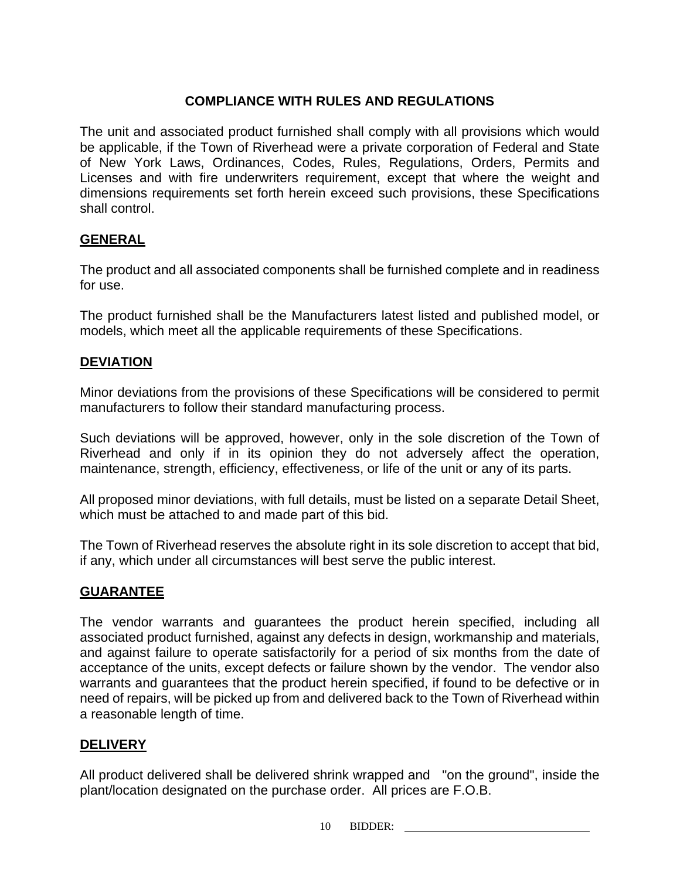## **COMPLIANCE WITH RULES AND REGULATIONS**

The unit and associated product furnished shall comply with all provisions which would be applicable, if the Town of Riverhead were a private corporation of Federal and State of New York Laws, Ordinances, Codes, Rules, Regulations, Orders, Permits and Licenses and with fire underwriters requirement, except that where the weight and dimensions requirements set forth herein exceed such provisions, these Specifications shall control.

## **GENERAL**

The product and all associated components shall be furnished complete and in readiness for use.

The product furnished shall be the Manufacturers latest listed and published model, or models, which meet all the applicable requirements of these Specifications.

### **DEVIATION**

Minor deviations from the provisions of these Specifications will be considered to permit manufacturers to follow their standard manufacturing process.

Such deviations will be approved, however, only in the sole discretion of the Town of Riverhead and only if in its opinion they do not adversely affect the operation, maintenance, strength, efficiency, effectiveness, or life of the unit or any of its parts.

All proposed minor deviations, with full details, must be listed on a separate Detail Sheet, which must be attached to and made part of this bid.

The Town of Riverhead reserves the absolute right in its sole discretion to accept that bid, if any, which under all circumstances will best serve the public interest.

## **GUARANTEE**

The vendor warrants and guarantees the product herein specified, including all associated product furnished, against any defects in design, workmanship and materials, and against failure to operate satisfactorily for a period of six months from the date of acceptance of the units, except defects or failure shown by the vendor. The vendor also warrants and guarantees that the product herein specified, if found to be defective or in need of repairs, will be picked up from and delivered back to the Town of Riverhead within a reasonable length of time.

### **DELIVERY**

All product delivered shall be delivered shrink wrapped and "on the ground", inside the plant/location designated on the purchase order. All prices are F.O.B.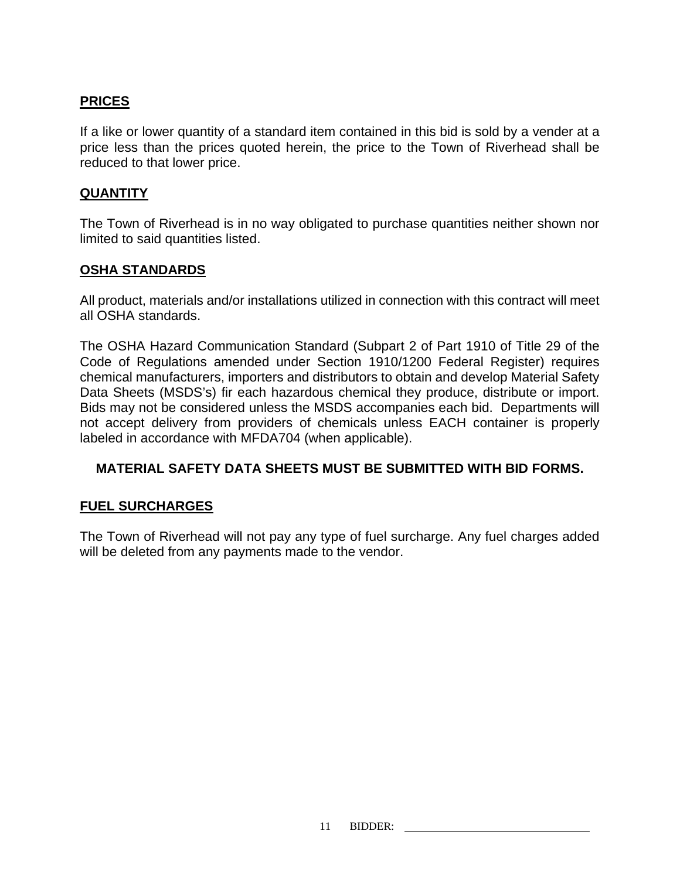## **PRICES**

If a like or lower quantity of a standard item contained in this bid is sold by a vender at a price less than the prices quoted herein, the price to the Town of Riverhead shall be reduced to that lower price.

#### **QUANTITY**

The Town of Riverhead is in no way obligated to purchase quantities neither shown nor limited to said quantities listed.

### **OSHA STANDARDS**

All product, materials and/or installations utilized in connection with this contract will meet all OSHA standards.

The OSHA Hazard Communication Standard (Subpart 2 of Part 1910 of Title 29 of the Code of Regulations amended under Section 1910/1200 Federal Register) requires chemical manufacturers, importers and distributors to obtain and develop Material Safety Data Sheets (MSDS's) fir each hazardous chemical they produce, distribute or import. Bids may not be considered unless the MSDS accompanies each bid. Departments will not accept delivery from providers of chemicals unless EACH container is properly labeled in accordance with MFDA704 (when applicable).

### **MATERIAL SAFETY DATA SHEETS MUST BE SUBMITTED WITH BID FORMS.**

### **FUEL SURCHARGES**

The Town of Riverhead will not pay any type of fuel surcharge. Any fuel charges added will be deleted from any payments made to the vendor.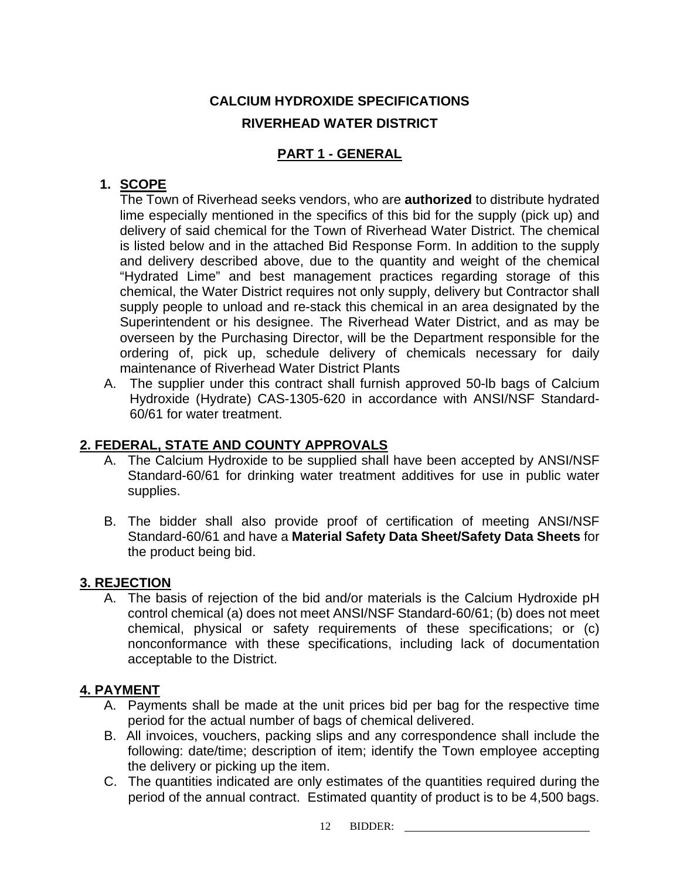## **CALCIUM HYDROXIDE SPECIFICATIONS RIVERHEAD WATER DISTRICT**

## **PART 1 - GENERAL**

## **1. SCOPE**

The Town of Riverhead seeks vendors, who are **authorized** to distribute hydrated lime especially mentioned in the specifics of this bid for the supply (pick up) and delivery of said chemical for the Town of Riverhead Water District. The chemical is listed below and in the attached Bid Response Form. In addition to the supply and delivery described above, due to the quantity and weight of the chemical "Hydrated Lime" and best management practices regarding storage of this chemical, the Water District requires not only supply, delivery but Contractor shall supply people to unload and re-stack this chemical in an area designated by the Superintendent or his designee. The Riverhead Water District, and as may be overseen by the Purchasing Director, will be the Department responsible for the ordering of, pick up, schedule delivery of chemicals necessary for daily maintenance of Riverhead Water District Plants

A. The supplier under this contract shall furnish approved 50-lb bags of Calcium Hydroxide (Hydrate) CAS-1305-620 in accordance with ANSI/NSF Standard-60/61 for water treatment.

## **2. FEDERAL, STATE AND COUNTY APPROVALS**

- A. The Calcium Hydroxide to be supplied shall have been accepted by ANSI/NSF Standard-60/61 for drinking water treatment additives for use in public water supplies.
- B. The bidder shall also provide proof of certification of meeting ANSI/NSF Standard-60/61 and have a **Material Safety Data Sheet/Safety Data Sheets** for the product being bid.

## **3. REJECTION**

A. The basis of rejection of the bid and/or materials is the Calcium Hydroxide pH control chemical (a) does not meet ANSI/NSF Standard-60/61; (b) does not meet chemical, physical or safety requirements of these specifications; or (c) nonconformance with these specifications, including lack of documentation acceptable to the District.

## **4. PAYMENT**

- A. Payments shall be made at the unit prices bid per bag for the respective time period for the actual number of bags of chemical delivered.
- B. All invoices, vouchers, packing slips and any correspondence shall include the following: date/time; description of item; identify the Town employee accepting the delivery or picking up the item.
- C. The quantities indicated are only estimates of the quantities required during the period of the annual contract. Estimated quantity of product is to be 4,500 bags.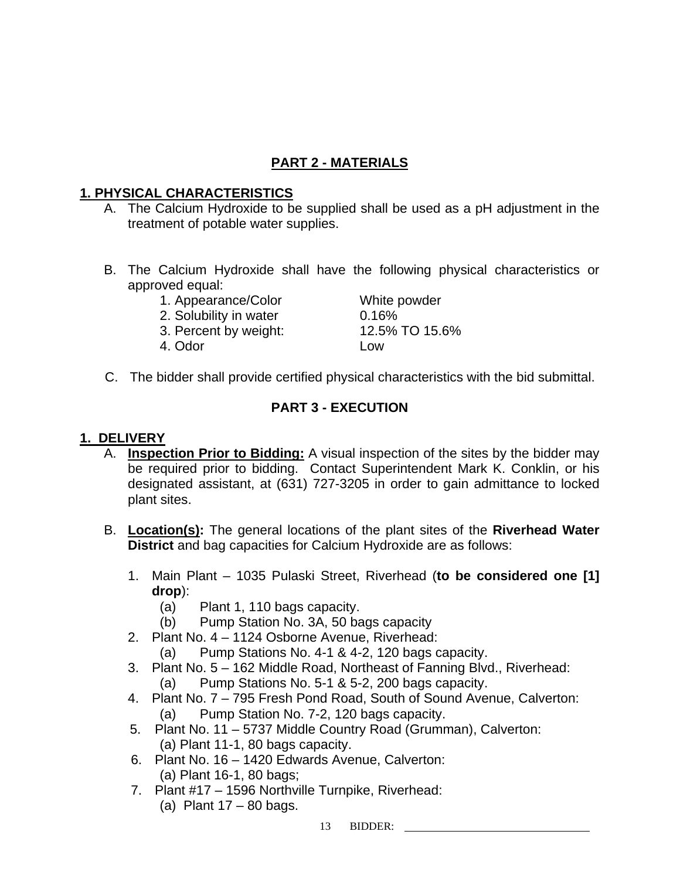## **PART 2 - MATERIALS**

## **1. PHYSICAL CHARACTERISTICS**

- A. The Calcium Hydroxide to be supplied shall be used as a pH adjustment in the treatment of potable water supplies.
- B. The Calcium Hydroxide shall have the following physical characteristics or approved equal:
	- 1. Appearance/Color White powder
	- 2. Solubility in water 0.16%
	- 3. Percent by weight: 12.5% TO 15.6%
	- 4. Odor Low

C. The bidder shall provide certified physical characteristics with the bid submittal.

## **PART 3 - EXECUTION**

## **1. DELIVERY**

- A. **Inspection Prior to Bidding:** A visual inspection of the sites by the bidder may be required prior to bidding. Contact Superintendent Mark K. Conklin, or his designated assistant, at (631) 727-3205 in order to gain admittance to locked plant sites.
- B. **Location(s):** The general locations of the plant sites of the **Riverhead Water District** and bag capacities for Calcium Hydroxide are as follows:
	- 1. Main Plant 1035 Pulaski Street, Riverhead (**to be considered one [1] drop**):
		- (a) Plant 1, 110 bags capacity.
		- (b) Pump Station No. 3A, 50 bags capacity
	- 2. Plant No. 4 1124 Osborne Avenue, Riverhead:
		- (a) Pump Stations No. 4-1 & 4-2, 120 bags capacity.
	- 3. Plant No. 5 162 Middle Road, Northeast of Fanning Blvd., Riverhead: (a) Pump Stations No. 5-1 & 5-2, 200 bags capacity.
	- 4. Plant No. 7 795 Fresh Pond Road, South of Sound Avenue, Calverton: (a) Pump Station No. 7-2, 120 bags capacity.
	- 5. Plant No. 11 5737 Middle Country Road (Grumman), Calverton: (a) Plant 11-1, 80 bags capacity.
	- 6. Plant No. 16 1420 Edwards Avenue, Calverton: (a) Plant 16-1, 80 bags;
	- 7. Plant #17 1596 Northville Turnpike, Riverhead: (a) Plant  $17 - 80$  bags.

13 BIDDER: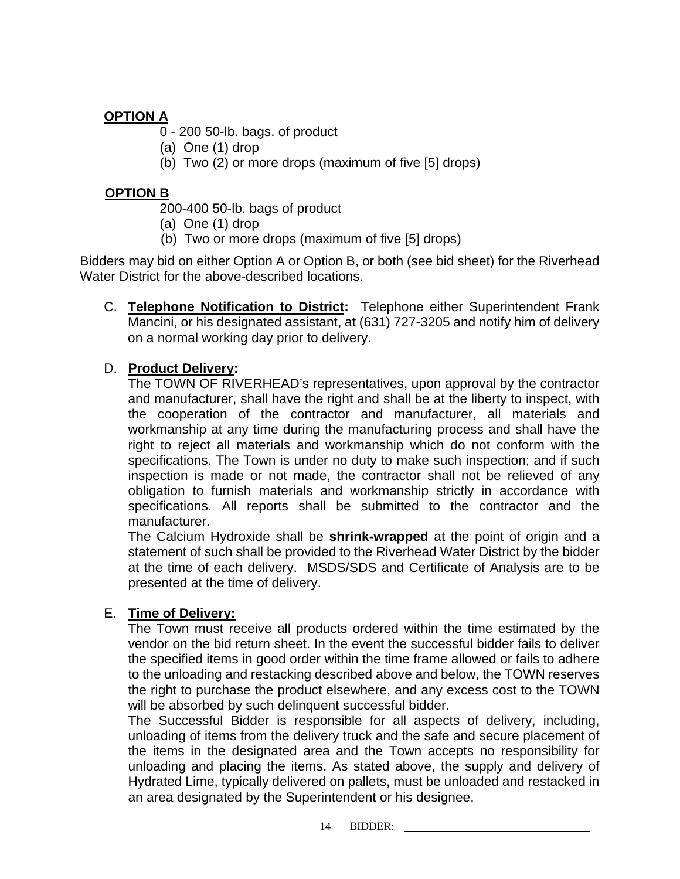## **OPTION A**

0 - 200 50-lb. bags. of product

- (a) One (1) drop
- (b) Two (2) or more drops (maximum of five [5] drops)

## **OPTION B**

200-400 50-lb. bags of product

- (a) One (1) drop
- (b) Two or more drops (maximum of five [5] drops)

Bidders may bid on either Option A or Option B, or both (see bid sheet) for the Riverhead Water District for the above-described locations.

C. **Telephone Notification to District:** Telephone either Superintendent Frank Mancini, or his designated assistant, at (631) 727-3205 and notify him of delivery on a normal working day prior to delivery.

## D. **Product Delivery:**

The TOWN OF RIVERHEAD's representatives, upon approval by the contractor and manufacturer, shall have the right and shall be at the liberty to inspect, with the cooperation of the contractor and manufacturer, all materials and workmanship at any time during the manufacturing process and shall have the right to reject all materials and workmanship which do not conform with the specifications. The Town is under no duty to make such inspection; and if such inspection is made or not made, the contractor shall not be relieved of any obligation to furnish materials and workmanship strictly in accordance with specifications. All reports shall be submitted to the contractor and the manufacturer.

The Calcium Hydroxide shall be **shrink-wrapped** at the point of origin and a statement of such shall be provided to the Riverhead Water District by the bidder at the time of each delivery. MSDS/SDS and Certificate of Analysis are to be presented at the time of delivery.

## E. **Time of Delivery:**

The Town must receive all products ordered within the time estimated by the vendor on the bid return sheet. In the event the successful bidder fails to deliver the specified items in good order within the time frame allowed or fails to adhere to the unloading and restacking described above and below, the TOWN reserves the right to purchase the product elsewhere, and any excess cost to the TOWN will be absorbed by such delinquent successful bidder.

The Successful Bidder is responsible for all aspects of delivery, including, unloading of items from the delivery truck and the safe and secure placement of the items in the designated area and the Town accepts no responsibility for unloading and placing the items. As stated above, the supply and delivery of Hydrated Lime, typically delivered on pallets, must be unloaded and restacked in an area designated by the Superintendent or his designee.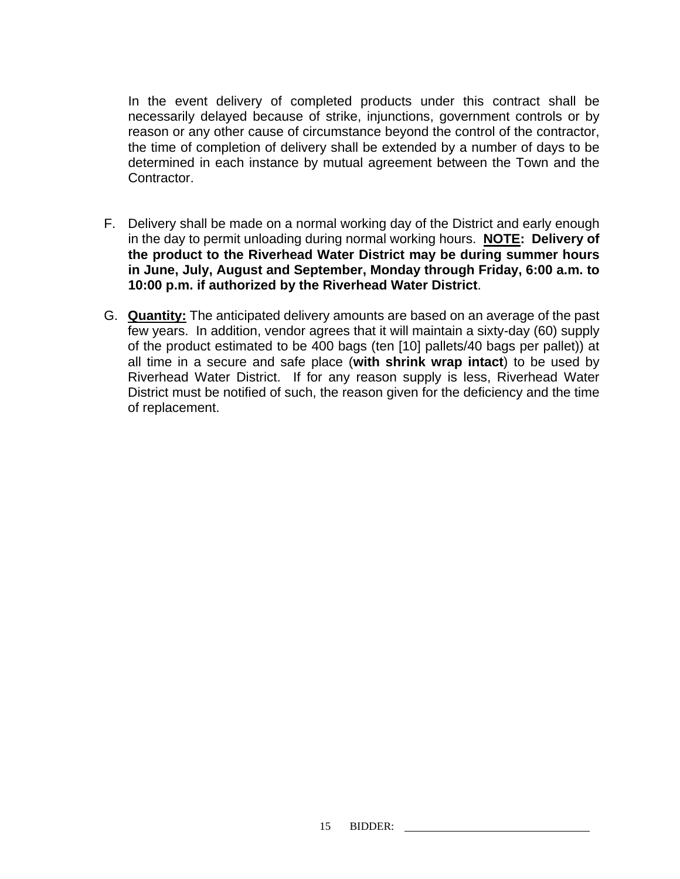In the event delivery of completed products under this contract shall be necessarily delayed because of strike, injunctions, government controls or by reason or any other cause of circumstance beyond the control of the contractor, the time of completion of delivery shall be extended by a number of days to be determined in each instance by mutual agreement between the Town and the Contractor.

- F. Delivery shall be made on a normal working day of the District and early enough in the day to permit unloading during normal working hours. **NOTE: Delivery of the product to the Riverhead Water District may be during summer hours in June, July, August and September, Monday through Friday, 6:00 a.m. to 10:00 p.m. if authorized by the Riverhead Water District**.
- G. **Quantity:** The anticipated delivery amounts are based on an average of the past few years. In addition, vendor agrees that it will maintain a sixty-day (60) supply of the product estimated to be 400 bags (ten [10] pallets/40 bags per pallet)) at all time in a secure and safe place (**with shrink wrap intact**) to be used by Riverhead Water District. If for any reason supply is less, Riverhead Water District must be notified of such, the reason given for the deficiency and the time of replacement.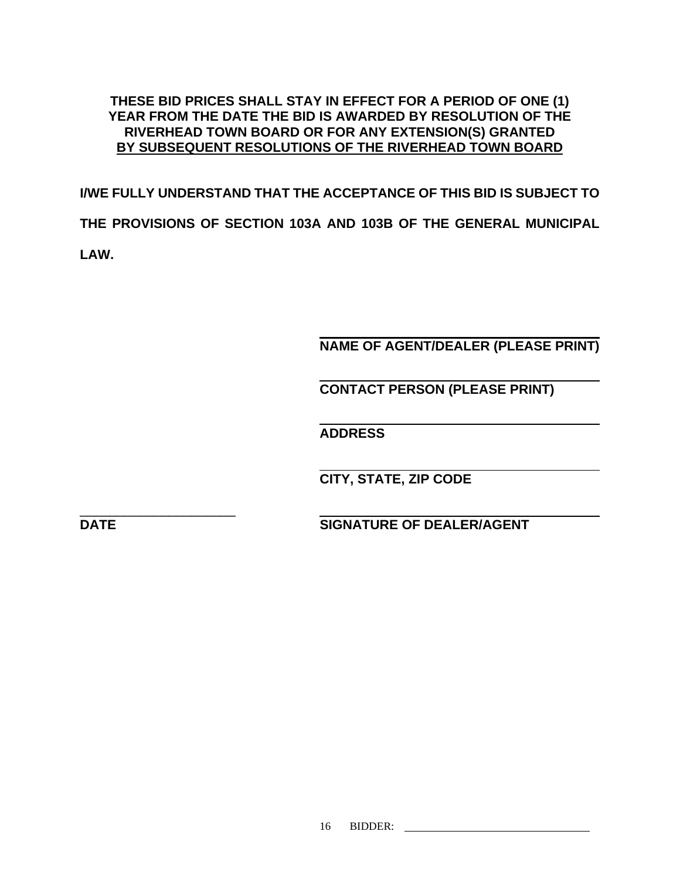## **THESE BID PRICES SHALL STAY IN EFFECT FOR A PERIOD OF ONE (1) YEAR FROM THE DATE THE BID IS AWARDED BY RESOLUTION OF THE RIVERHEAD TOWN BOARD OR FOR ANY EXTENSION(S) GRANTED BY SUBSEQUENT RESOLUTIONS OF THE RIVERHEAD TOWN BOARD**

**I/WE FULLY UNDERSTAND THAT THE ACCEPTANCE OF THIS BID IS SUBJECT TO THE PROVISIONS OF SECTION 103A AND 103B OF THE GENERAL MUNICIPAL LAW.** 

 **NAME OF AGENT/DEALER (PLEASE PRINT)** 

 **CONTACT PERSON (PLEASE PRINT)** 

**ADDRESS** 

 **CITY, STATE, ZIP CODE** 

\_\_\_\_\_\_\_\_\_\_\_\_\_\_\_\_\_\_\_\_\_

**DATE** SIGNATURE OF DEALER/AGENT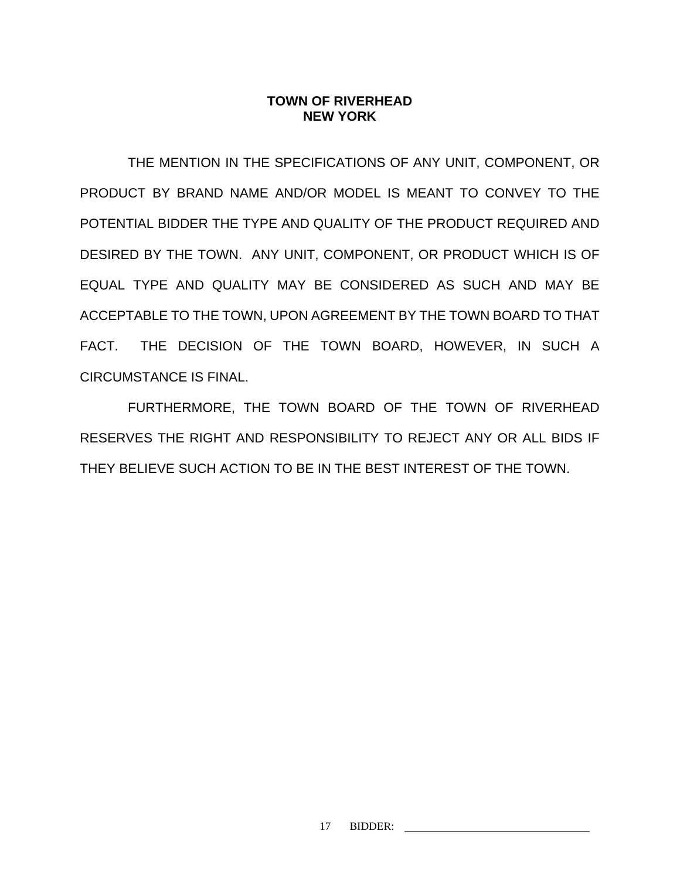### **TOWN OF RIVERHEAD NEW YORK**

THE MENTION IN THE SPECIFICATIONS OF ANY UNIT, COMPONENT, OR PRODUCT BY BRAND NAME AND/OR MODEL IS MEANT TO CONVEY TO THE POTENTIAL BIDDER THE TYPE AND QUALITY OF THE PRODUCT REQUIRED AND DESIRED BY THE TOWN. ANY UNIT, COMPONENT, OR PRODUCT WHICH IS OF EQUAL TYPE AND QUALITY MAY BE CONSIDERED AS SUCH AND MAY BE ACCEPTABLE TO THE TOWN, UPON AGREEMENT BY THE TOWN BOARD TO THAT FACT. THE DECISION OF THE TOWN BOARD, HOWEVER, IN SUCH A CIRCUMSTANCE IS FINAL.

FURTHERMORE, THE TOWN BOARD OF THE TOWN OF RIVERHEAD RESERVES THE RIGHT AND RESPONSIBILITY TO REJECT ANY OR ALL BIDS IF THEY BELIEVE SUCH ACTION TO BE IN THE BEST INTEREST OF THE TOWN.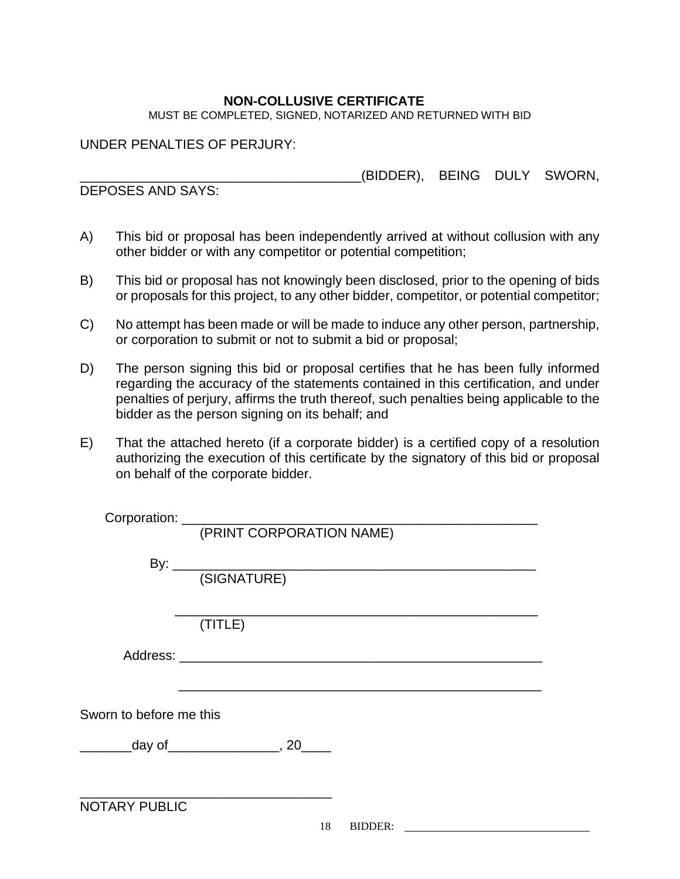### **NON-COLLUSIVE CERTIFICATE**

MUST BE COMPLETED, SIGNED, NOTARIZED AND RETURNED WITH BID

UNDER PENALTIES OF PERJURY:

\_\_\_\_\_\_\_\_\_\_\_\_\_\_\_\_\_\_\_\_\_\_\_\_\_\_\_\_\_\_\_\_\_\_\_\_\_\_(BIDDER), BEING DULY SWORN,

DEPOSES AND SAYS:

- A) This bid or proposal has been independently arrived at without collusion with any other bidder or with any competitor or potential competition;
- B) This bid or proposal has not knowingly been disclosed, prior to the opening of bids or proposals for this project, to any other bidder, competitor, or potential competitor;
- C) No attempt has been made or will be made to induce any other person, partnership, or corporation to submit or not to submit a bid or proposal;
- D) The person signing this bid or proposal certifies that he has been fully informed regarding the accuracy of the statements contained in this certification, and under penalties of perjury, affirms the truth thereof, such penalties being applicable to the bidder as the person signing on its behalf; and
- E) That the attached hereto (if a corporate bidder) is a certified copy of a resolution authorizing the execution of this certificate by the signatory of this bid or proposal on behalf of the corporate bidder.

|                         | (PRINT CORPORATION NAME)                       |
|-------------------------|------------------------------------------------|
|                         |                                                |
|                         |                                                |
|                         |                                                |
|                         |                                                |
|                         | (TITLE)                                        |
|                         |                                                |
|                         |                                                |
|                         |                                                |
|                         |                                                |
| Sworn to before me this |                                                |
|                         | ___________day of____________________, 20_____ |
|                         |                                                |
|                         |                                                |
| <b>NOTARY PUBLIC</b>    |                                                |
|                         | 18<br>BIDDER:                                  |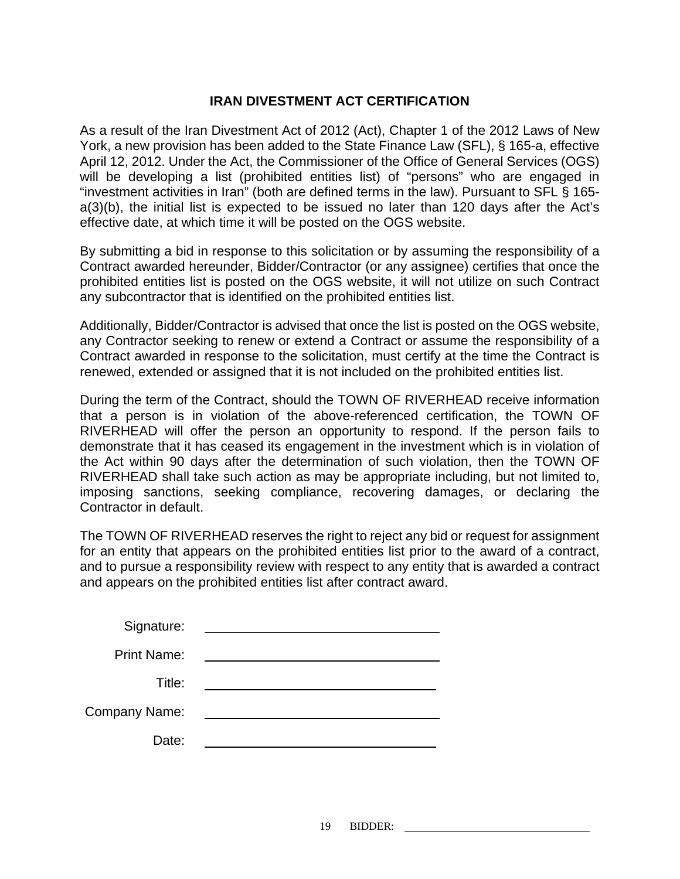### **IRAN DIVESTMENT ACT CERTIFICATION**

As a result of the Iran Divestment Act of 2012 (Act), Chapter 1 of the 2012 Laws of New York, a new provision has been added to the State Finance Law (SFL), § 165-a, effective April 12, 2012. Under the Act, the Commissioner of the Office of General Services (OGS) will be developing a list (prohibited entities list) of "persons" who are engaged in "investment activities in Iran" (both are defined terms in the law). Pursuant to SFL § 165 a(3)(b), the initial list is expected to be issued no later than 120 days after the Act's effective date, at which time it will be posted on the OGS website.

By submitting a bid in response to this solicitation or by assuming the responsibility of a Contract awarded hereunder, Bidder/Contractor (or any assignee) certifies that once the prohibited entities list is posted on the OGS website, it will not utilize on such Contract any subcontractor that is identified on the prohibited entities list.

Additionally, Bidder/Contractor is advised that once the list is posted on the OGS website, any Contractor seeking to renew or extend a Contract or assume the responsibility of a Contract awarded in response to the solicitation, must certify at the time the Contract is renewed, extended or assigned that it is not included on the prohibited entities list.

During the term of the Contract, should the TOWN OF RIVERHEAD receive information that a person is in violation of the above-referenced certification, the TOWN OF RIVERHEAD will offer the person an opportunity to respond. If the person fails to demonstrate that it has ceased its engagement in the investment which is in violation of the Act within 90 days after the determination of such violation, then the TOWN OF RIVERHEAD shall take such action as may be appropriate including, but not limited to, imposing sanctions, seeking compliance, recovering damages, or declaring the Contractor in default.

The TOWN OF RIVERHEAD reserves the right to reject any bid or request for assignment for an entity that appears on the prohibited entities list prior to the award of a contract, and to pursue a responsibility review with respect to any entity that is awarded a contract and appears on the prohibited entities list after contract award.

| Signature:           |  |
|----------------------|--|
| <b>Print Name:</b>   |  |
| Title:               |  |
| <b>Company Name:</b> |  |
| Date:                |  |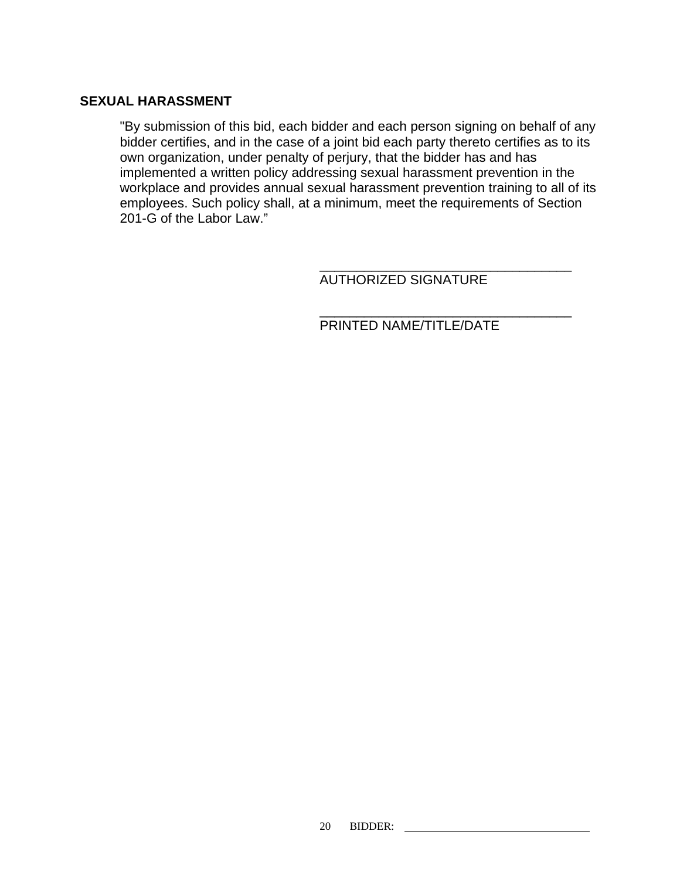#### **SEXUAL HARASSMENT**

"By submission of this bid, each bidder and each person signing on behalf of any bidder certifies, and in the case of a joint bid each party thereto certifies as to its own organization, under penalty of perjury, that the bidder has and has implemented a written policy addressing sexual harassment prevention in the workplace and provides annual sexual harassment prevention training to all of its employees. Such policy shall, at a minimum, meet the requirements of Section 201-G of the Labor Law."

 $\frac{1}{\sqrt{2\pi}}$  , which is a set of the set of the set of the set of the set of the set of the set of the set of the set of the set of the set of the set of the set of the set of the set of the set of the set of the set of

AUTHORIZED SIGNATURE

 $\frac{1}{\sqrt{2\pi}}$  ,  $\frac{1}{\sqrt{2\pi}}$  ,  $\frac{1}{\sqrt{2\pi}}$  ,  $\frac{1}{\sqrt{2\pi}}$  ,  $\frac{1}{\sqrt{2\pi}}$  ,  $\frac{1}{\sqrt{2\pi}}$  ,  $\frac{1}{\sqrt{2\pi}}$  ,  $\frac{1}{\sqrt{2\pi}}$  ,  $\frac{1}{\sqrt{2\pi}}$  ,  $\frac{1}{\sqrt{2\pi}}$  ,  $\frac{1}{\sqrt{2\pi}}$  ,  $\frac{1}{\sqrt{2\pi}}$  ,  $\frac{1}{\sqrt{2\pi}}$  , PRINTED NAME/TITLE/DATE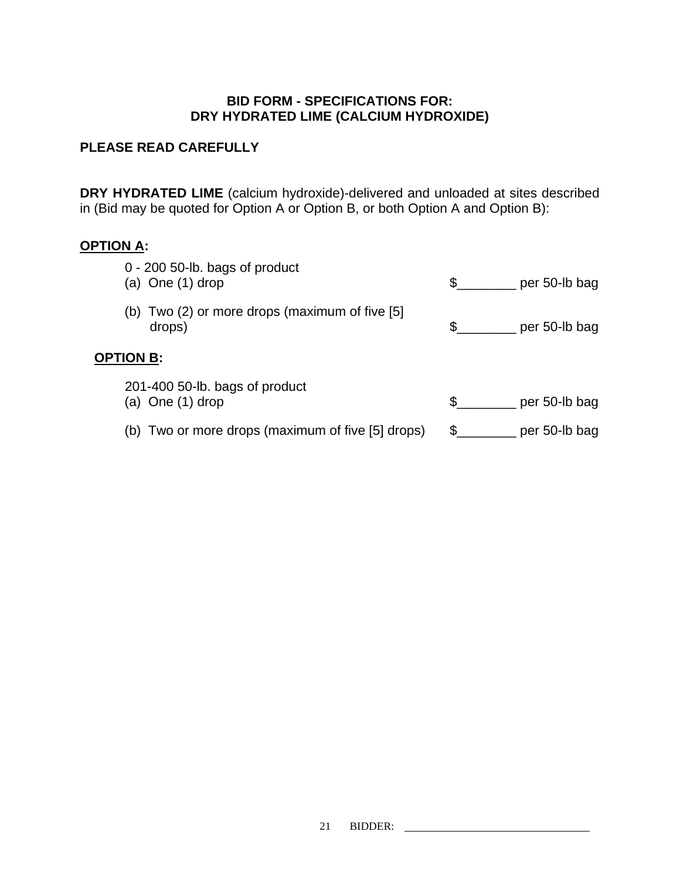## **BID FORM - SPECIFICATIONS FOR: DRY HYDRATED LIME (CALCIUM HYDROXIDE)**

## **PLEASE READ CAREFULLY**

**DRY HYDRATED LIME** (calcium hydroxide)-delivered and unloaded at sites described in (Bid may be quoted for Option A or Option B, or both Option A and Option B):

## **OPTION A:**

| $0 - 200$ 50-lb. bags of product                  | \$                  |
|---------------------------------------------------|---------------------|
| (a) One $(1)$ drop                                | per 50-lb bag       |
| (b) Two (2) or more drops (maximum of five [5]    | \$                  |
| drops)                                            | per 50-lb bag       |
| <b>OPTION B:</b>                                  |                     |
| 201-400 50-lb. bags of product                    | \$.                 |
| (a) One $(1)$ drop                                | per 50-lb bag       |
| (b) Two or more drops (maximum of five [5] drops) | \$<br>per 50-lb bag |